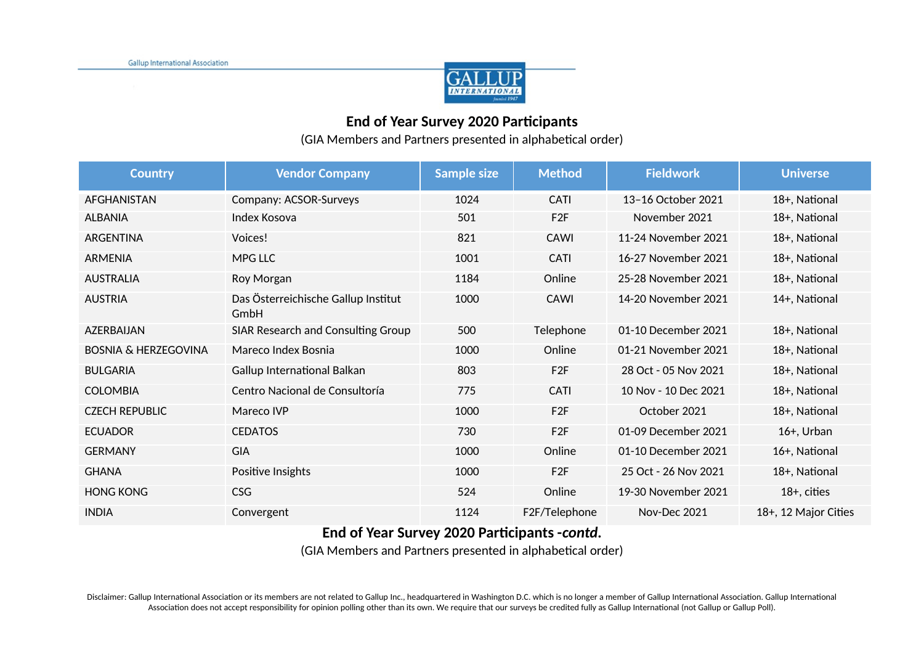

## **End of Year Survey 2020 Participants**

(GIA Members and Partners presented in alphabetical order)

| <b>Country</b>                  | <b>Vendor Company</b>                       | <b>Sample size</b> | <b>Method</b>   | <b>Fieldwork</b>     | <b>Universe</b>      |
|---------------------------------|---------------------------------------------|--------------------|-----------------|----------------------|----------------------|
| <b>AFGHANISTAN</b>              | Company: ACSOR-Surveys                      | 1024               | CATI            | 13-16 October 2021   | 18+, National        |
| <b>ALBANIA</b>                  | Index Kosova                                | 501                | F <sub>2F</sub> | November 2021        | 18+, National        |
| ARGENTINA                       | Voices!                                     | 821                | <b>CAWI</b>     | 11-24 November 2021  | 18+, National        |
| <b>ARMENIA</b>                  | <b>MPG LLC</b>                              | 1001               | <b>CATI</b>     | 16-27 November 2021  | 18+, National        |
| <b>AUSTRALIA</b>                | Roy Morgan                                  | 1184               | Online          | 25-28 November 2021  | 18+, National        |
| <b>AUSTRIA</b>                  | Das Österreichische Gallup Institut<br>GmbH | 1000               | <b>CAWI</b>     | 14-20 November 2021  | 14+, National        |
| AZERBAIJAN                      | SIAR Research and Consulting Group          | 500                | Telephone       | 01-10 December 2021  | 18+, National        |
| <b>BOSNIA &amp; HERZEGOVINA</b> | Mareco Index Bosnia                         | 1000               | Online          | 01-21 November 2021  | 18+, National        |
| <b>BULGARIA</b>                 | Gallup International Balkan                 | 803                | F <sub>2F</sub> | 28 Oct - 05 Nov 2021 | 18+, National        |
| <b>COLOMBIA</b>                 | Centro Nacional de Consultoría              | 775                | <b>CATI</b>     | 10 Nov - 10 Dec 2021 | 18+, National        |
| <b>CZECH REPUBLIC</b>           | Mareco IVP                                  | 1000               | F <sub>2F</sub> | October 2021         | 18+, National        |
| <b>ECUADOR</b>                  | <b>CEDATOS</b>                              | 730                | F <sub>2F</sub> | 01-09 December 2021  | $16+$ , Urban        |
| <b>GERMANY</b>                  | <b>GIA</b>                                  | 1000               | Online          | 01-10 December 2021  | 16+, National        |
| <b>GHANA</b>                    | Positive Insights                           | 1000               | F <sub>2F</sub> | 25 Oct - 26 Nov 2021 | 18+, National        |
| <b>HONG KONG</b>                | <b>CSG</b>                                  | 524                | Online          | 19-30 November 2021  | $18+$ , cities       |
| <b>INDIA</b>                    | Convergent                                  | 1124               | F2F/Telephone   | Nov-Dec 2021         | 18+, 12 Major Cities |

## **End of Year Survey 2020 Participants -***contd.*

(GIA Members and Partners presented in alphabetical order)

Disclaimer: Gallup International Association or its members are not related to Gallup Inc., headquartered in Washington D.C. which is no longer a member of Gallup International Association. Gallup International Association Association does not accept responsibility for opinion polling other than its own. We require that our surveys be credited fully as Gallup International (not Gallup or Gallup Poll).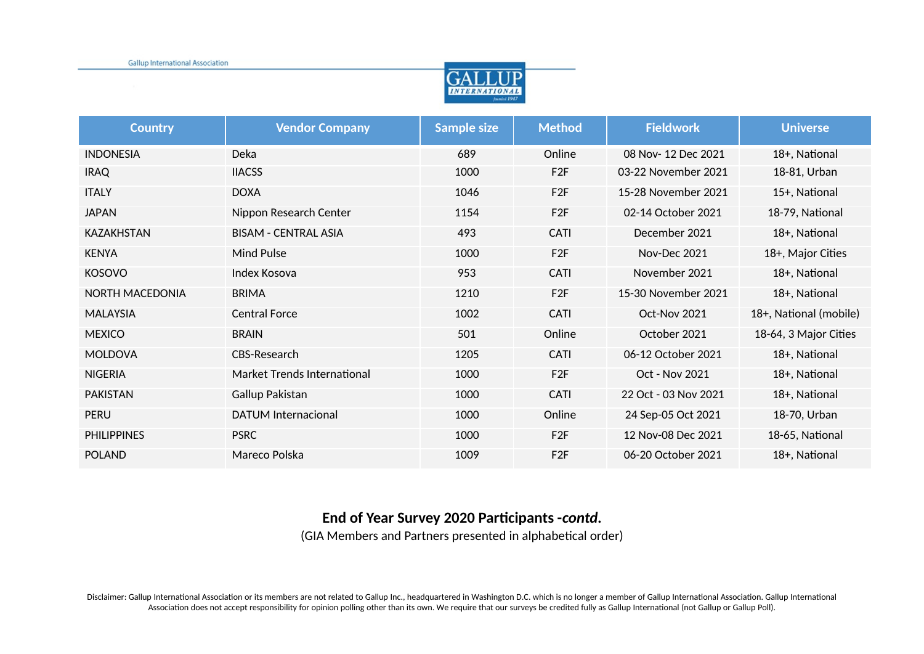

| <b>Country</b>     | <b>Vendor Company</b>       | <b>Sample size</b> | <b>Method</b>   | <b>Fieldwork</b>     | <b>Universe</b>        |
|--------------------|-----------------------------|--------------------|-----------------|----------------------|------------------------|
| <b>INDONESIA</b>   | Deka                        | 689                | Online          | 08 Nov-12 Dec 2021   | 18+, National          |
| <b>IRAQ</b>        | <b>IIACSS</b>               | 1000               | F <sub>2F</sub> | 03-22 November 2021  | 18-81, Urban           |
| <b>ITALY</b>       | <b>DOXA</b>                 | 1046               | F <sub>2F</sub> | 15-28 November 2021  | 15+, National          |
| <b>JAPAN</b>       | Nippon Research Center      | 1154               | F <sub>2F</sub> | 02-14 October 2021   | 18-79, National        |
| <b>KAZAKHSTAN</b>  | <b>BISAM - CENTRAL ASIA</b> | 493                | <b>CATI</b>     | December 2021        | 18+, National          |
| <b>KENYA</b>       | Mind Pulse                  | 1000               | F <sub>2F</sub> | Nov-Dec 2021         | 18+, Major Cities      |
| <b>KOSOVO</b>      | Index Kosova                | 953                | <b>CATI</b>     | November 2021        | 18+, National          |
| NORTH MACEDONIA    | <b>BRIMA</b>                | 1210               | F <sub>2F</sub> | 15-30 November 2021  | 18+, National          |
| <b>MALAYSIA</b>    | <b>Central Force</b>        | 1002               | CATI            | Oct-Nov 2021         | 18+, National (mobile) |
| <b>MEXICO</b>      | <b>BRAIN</b>                | 501                | Online          | October 2021         | 18-64, 3 Major Cities  |
| <b>MOLDOVA</b>     | CBS-Research                | 1205               | <b>CATI</b>     | 06-12 October 2021   | 18+, National          |
| <b>NIGERIA</b>     | Market Trends International | 1000               | F <sub>2F</sub> | Oct - Nov 2021       | 18+, National          |
| <b>PAKISTAN</b>    | Gallup Pakistan             | 1000               | <b>CATI</b>     | 22 Oct - 03 Nov 2021 | 18+, National          |
| <b>PERU</b>        | <b>DATUM Internacional</b>  | 1000               | Online          | 24 Sep-05 Oct 2021   | 18-70, Urban           |
| <b>PHILIPPINES</b> | <b>PSRC</b>                 | 1000               | F <sub>2F</sub> | 12 Nov-08 Dec 2021   | 18-65, National        |
| <b>POLAND</b>      | Mareco Polska               | 1009               | F <sub>2F</sub> | 06-20 October 2021   | 18+, National          |

## **End of Year Survey 2020 Participants -***contd.*

(GIA Members and Partners presented in alphabetical order)

Disclaimer: Gallup International Association or its members are not related to Gallup Inc., headquartered in Washington D.C. which is no longer a member of Gallup International Association. Gallup International Association Association does not accept responsibility for opinion polling other than its own. We require that our surveys be credited fully as Gallup International (not Gallup or Gallup Poll).